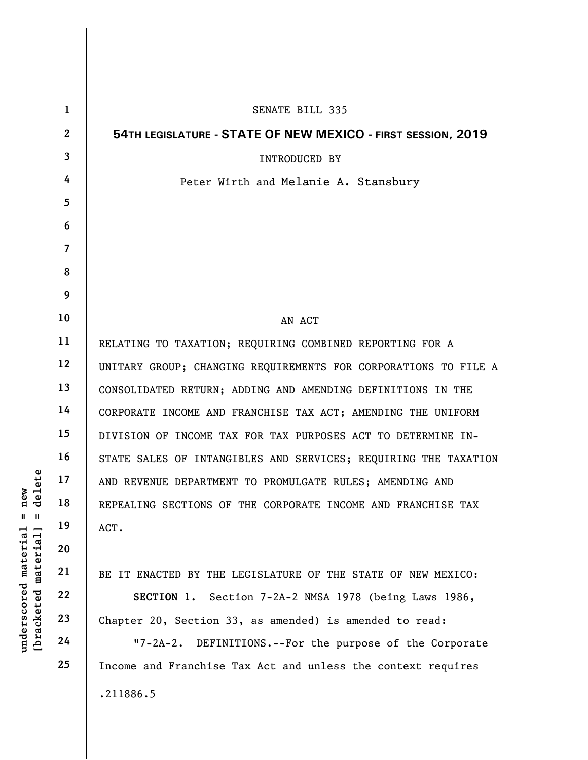| $\mathbf{1}$            | <b>SENATE BILL 335</b>                                          |
|-------------------------|-----------------------------------------------------------------|
| $\mathbf{2}$            | 54TH LEGISLATURE - STATE OF NEW MEXICO - FIRST SESSION, 2019    |
| $\overline{\mathbf{3}}$ | <b>INTRODUCED BY</b>                                            |
| 4                       | Peter Wirth and Melanie A. Stansbury                            |
| $\overline{5}$          |                                                                 |
| 6                       |                                                                 |
| $\overline{7}$          |                                                                 |
| 8                       |                                                                 |
| 9                       |                                                                 |
| 10                      | AN ACT                                                          |
| 11                      | RELATING TO TAXATION; REQUIRING COMBINED REPORTING FOR A        |
| 12                      | UNITARY GROUP; CHANGING REQUIREMENTS FOR CORPORATIONS TO FILE A |
| 13                      | CONSOLIDATED RETURN; ADDING AND AMENDING DEFINITIONS IN THE     |
| 14                      | CORPORATE INCOME AND FRANCHISE TAX ACT; AMENDING THE UNIFORM    |
| 15                      | DIVISION OF INCOME TAX FOR TAX PURPOSES ACT TO DETERMINE IN-    |
| 16                      | STATE SALES OF INTANGIBLES AND SERVICES; REQUIRING THE TAXATION |
| 17                      | AND REVENUE DEPARTMENT TO PROMULGATE RULES; AMENDING AND        |
| 18                      | REPEALING SECTIONS OF THE CORPORATE INCOME AND FRANCHISE TAX    |
| 19                      | ACT.                                                            |
| 20                      |                                                                 |
| 21                      | BE IT ENACTED BY THE LEGISLATURE OF THE STATE OF NEW MEXICO:    |
| 22                      | SECTION 1. Section 7-2A-2 NMSA 1978 (being Laws 1986,           |
| 23                      | Chapter 20, Section 33, as amended) is amended to read:         |
| 24                      | "7-2A-2. DEFINITIONS.--For the purpose of the Corporate         |
| 25                      | Income and Franchise Tax Act and unless the context requires    |
|                         | .211886.5                                                       |
|                         |                                                                 |

 $[**bracket eted metert et**] = **del et e**$ **[bracketed material] = delete**  $underscored material = new$ **underscored material = new**

 $\mathsf{l}$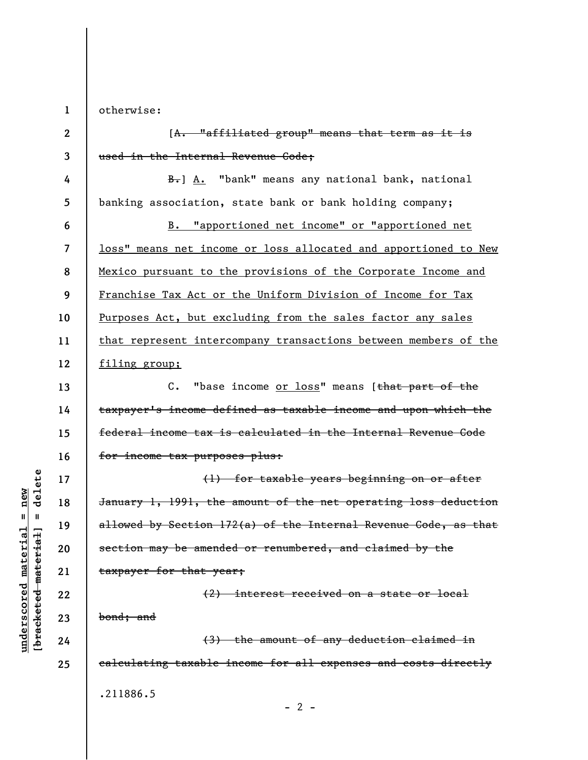**1**  otherwise:

**2 3**  [A. "affiliated group" means that term as it is used in the Internal Revenue Code;

**4 5**  B. A. "bank" means any national bank, national banking association, state bank or bank holding company;

**6 7 8 9 10 11 12**  B. "apportioned net income" or "apportioned net loss" means net income or loss allocated and apportioned to New Mexico pursuant to the provisions of the Corporate Income and Franchise Tax Act or the Uniform Division of Income for Tax Purposes Act, but excluding from the sales factor any sales that represent intercompany transactions between members of the filing group;

**13 14 15 16**  C. "base income or loss" means [that part of the taxpayer's income defined as taxable income and upon which the federal income tax is calculated in the Internal Revenue Code for income tax purposes plus:

(1) for taxable years beginning on or after January 1, 1991, the amount of the net operating loss deduction allowed by Section 172(a) of the Internal Revenue Code, as that section may be amended or renumbered, and claimed by the taxpayer for that year;

(2) interest received on a state or local bond; and (3) the amount of any deduction claimed in

calculating taxable income for all expenses and costs directly

.211886.5

delete **[bracketed material] = delete**  $anderscored material = new$ **underscored material = new**  $\mathbf{I}$ bracketed material

**17** 

**18** 

**19** 

**20** 

**21** 

**22** 

**23** 

**24** 

**25**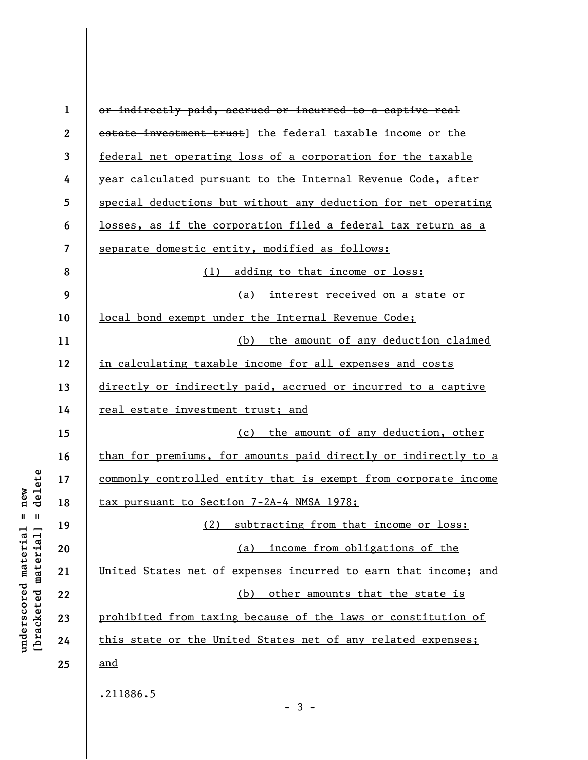| $\mathbf{1}$ | or indirectly paid, accrued or incurred to a captive real       |
|--------------|-----------------------------------------------------------------|
| $\mathbf{2}$ | estate investment trust] the federal taxable income or the      |
| 3            | federal net operating loss of a corporation for the taxable     |
| 4            | year calculated pursuant to the Internal Revenue Code, after    |
| 5            | special deductions but without any deduction for net operating  |
| 6            | losses, as if the corporation filed a federal tax return as a   |
| 7            | separate domestic entity, modified as follows:                  |
| 8            | (1) adding to that income or loss:                              |
| 9            | (a) interest received on a state or                             |
| 10           | local bond exempt under the Internal Revenue Code;              |
| 11           | (b) the amount of any deduction claimed                         |
| 12           | in calculating taxable income for all expenses and costs        |
| 13           | directly or indirectly paid, accrued or incurred to a captive   |
| 14           | <u>real estate investment trust; and</u>                        |
| 15           | (c) the amount of any deduction, other                          |
| 16           | than for premiums, for amounts paid directly or indirectly to a |
| 17           | commonly controlled entity that is exempt from corporate income |
| 18           | tax pursuant to Section 7-2A-4 NMSA 1978;                       |
| 19           | (2) subtracting from that income or loss:                       |
| 20           | (a) income from obligations of the                              |
| 21           | United States net of expenses incurred to earn that income; and |
| 22           | (b) other amounts that the state is                             |
| 23           | prohibited from taxing because of the laws or constitution of   |
| 24           | this state or the United States net of any related expenses;    |
| 25           | <u>and</u>                                                      |
|              | .211886.5                                                       |

## $[**bracket eted metert et**] = **del et e**$ **[bracketed material] = delete**  $underscored material = new$ **underscored material = new**

 $\overline{\phantom{a}}$ 

- 3 -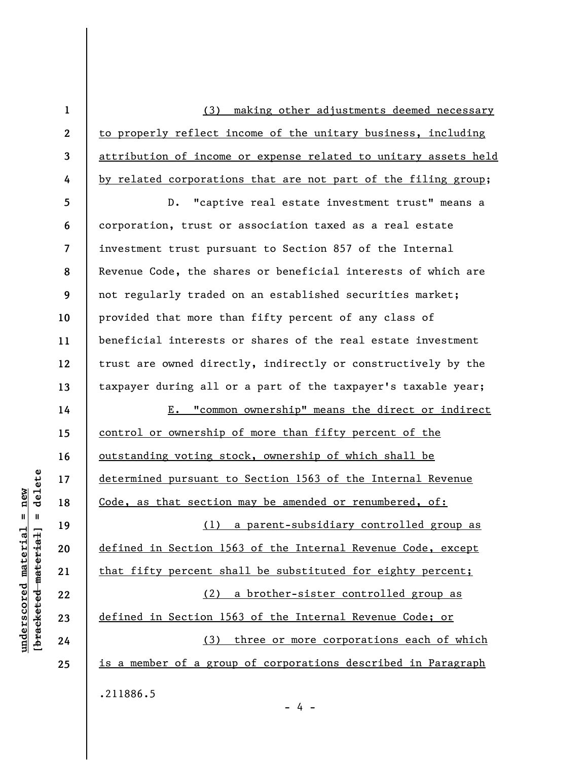(3) making other adjustments deemed necessary to properly reflect income of the unitary business, including attribution of income or expense related to unitary assets held by related corporations that are not part of the filing group;

**5 6 7 8 9 10 11 12 13**  D. "captive real estate investment trust" means a corporation, trust or association taxed as a real estate investment trust pursuant to Section 857 of the Internal Revenue Code, the shares or beneficial interests of which are not regularly traded on an established securities market; provided that more than fifty percent of any class of beneficial interests or shares of the real estate investment trust are owned directly, indirectly or constructively by the taxpayer during all or a part of the taxpayer's taxable year;

**14 15 16 17 18 19 20 21 22 23 24 25**  E. "common ownership" means the direct or indirect control or ownership of more than fifty percent of the outstanding voting stock, ownership of which shall be determined pursuant to Section 1563 of the Internal Revenue Code, as that section may be amended or renumbered, of: (1) a parent-subsidiary controlled group as defined in Section 1563 of the Internal Revenue Code, except that fifty percent shall be substituted for eighty percent; (2) a brother-sister controlled group as defined in Section 1563 of the Internal Revenue Code; or (3) three or more corporations each of which is a member of a group of corporations described in Paragraph .211886.5

- 4 -

 $\frac{1}{2}$  intereted material = delete **[bracketed material] = delete**  $anderscored material = new$ **underscored material = new**

**1** 

**2** 

**3** 

**4**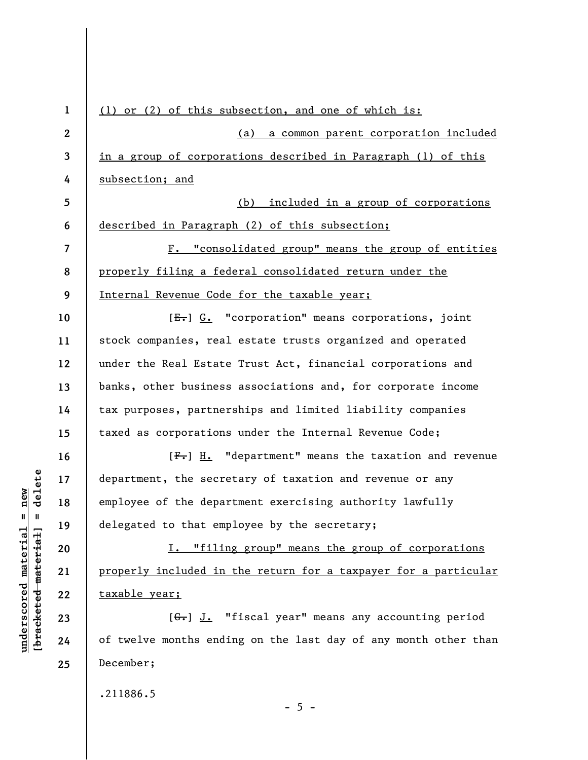| $\mathbf{1}$     | (1) or (2) of this subsection, and one of which is:             |
|------------------|-----------------------------------------------------------------|
| $\boldsymbol{2}$ | (a)<br>a common parent corporation included                     |
| 3                | in a group of corporations described in Paragraph (1) of this   |
| 4                | subsection; and                                                 |
| 5                | included in a group of corporations<br>(b)                      |
| 6                | described in Paragraph (2) of this subsection;                  |
| $\overline{7}$   | F. "consolidated group" means the group of entities             |
| 8                | properly filing a federal consolidated return under the         |
| 9                | Internal Revenue Code for the taxable year;                     |
| 10               | [E.] G. "corporation" means corporations, joint                 |
| 11               | stock companies, real estate trusts organized and operated      |
| 12               | under the Real Estate Trust Act, financial corporations and     |
| 13               | banks, other business associations and, for corporate income    |
| 14               | tax purposes, partnerships and limited liability companies      |
| 15               | taxed as corporations under the Internal Revenue Code;          |
| 16               | $[F1]$ H. "department" means the taxation and revenue           |
| 17               | department, the secretary of taxation and revenue or any        |
| 18               | employee of the department exercising authority lawfully        |
| 19               | delegated to that employee by the secretary;                    |
| 20               | I. "filing group" means the group of corporations               |
| 21               | properly included in the return for a taxpayer for a particular |
| 22               | taxable year;                                                   |
| 23               | [G.] J. "fiscal year" means any accounting period               |
| 24               | of twelve months ending on the last day of any month other than |
| 25               | December;                                                       |
|                  | .211886.5                                                       |
|                  |                                                                 |

- 5 -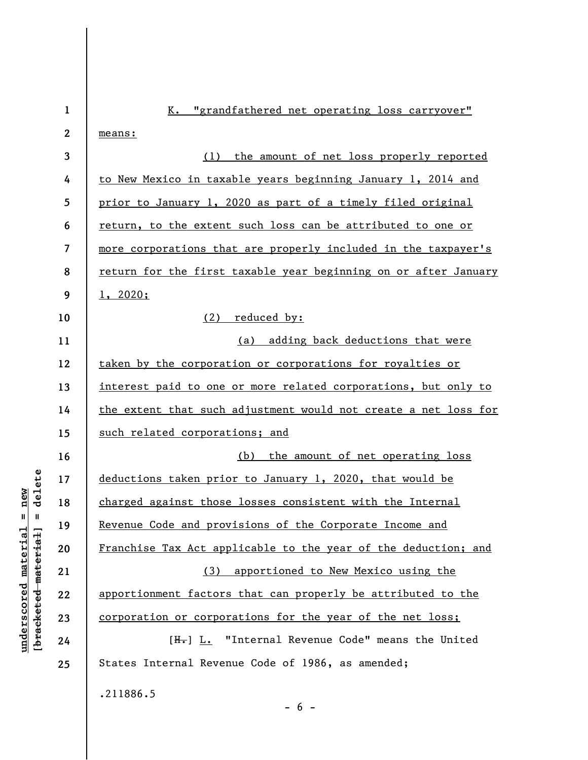| $\mathbf{1}$     | "grandfathered net operating loss carryover"<br>K.              |
|------------------|-----------------------------------------------------------------|
| $\boldsymbol{2}$ | means:                                                          |
| 3                | (1) the amount of net loss properly reported                    |
| 4                | to New Mexico in taxable years beginning January 1, 2014 and    |
| 5                | prior to January 1, 2020 as part of a timely filed original     |
| 6                | return, to the extent such loss can be attributed to one or     |
| 7                | more corporations that are properly included in the taxpayer's  |
| 8                | return for the first taxable year beginning on or after January |
| 9                | 1, 2020;                                                        |
| 10               | (2)<br>reduced by:                                              |
| 11               | (a) adding back deductions that were                            |
| 12               | taken by the corporation or corporations for royalties or       |
| 13               | interest paid to one or more related corporations, but only to  |
| 14               | the extent that such adjustment would not create a net loss for |
| 15               | such related corporations; and                                  |
| 16               | (b) the amount of net operating loss                            |
| 17               | deductions taken prior to January 1, 2020, that would be        |
| 18               | charged against those losses consistent with the Internal       |
| 19               | Revenue Code and provisions of the Corporate Income and         |
| 20               | Franchise Tax Act applicable to the year of the deduction; and  |
| 21               | (3) apportioned to New Mexico using the                         |
| 22               | apportionment factors that can properly be attributed to the    |
| 23               | corporation or corporations for the year of the net loss;       |
| 24               | [H.] L. "Internal Revenue Code" means the United                |
| 25               | States Internal Revenue Code of 1986, as amended;               |
|                  | .211886.5                                                       |

 $- 6 -$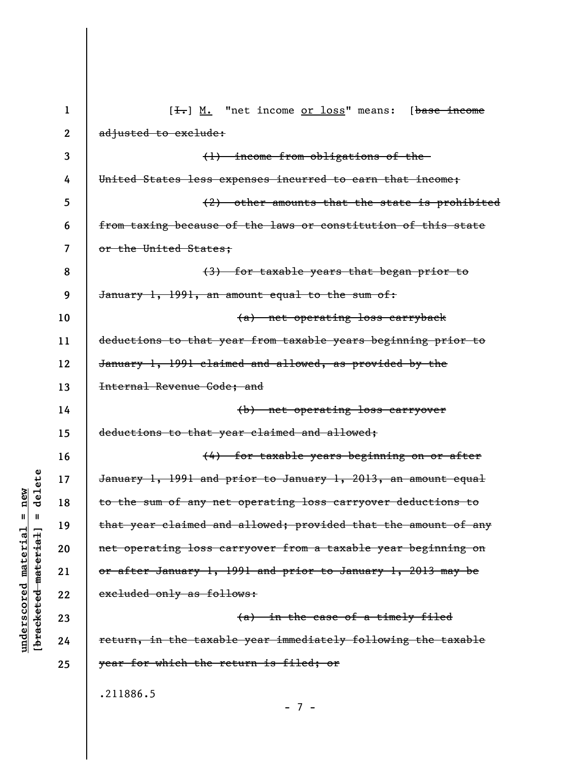| $\mathbf{1}$ | $[\frac{1}{\cdot}, \frac{1}{\cdot}, \frac{1}{\cdot}]$ "net income <u>or loss</u> " means: [base income |
|--------------|--------------------------------------------------------------------------------------------------------|
| $\mathbf{2}$ | adjusted to exclude:                                                                                   |
| 3            | (1) income from obligations of the-                                                                    |
| 4            | United States less expenses incurred to earn that income;                                              |
| 5            | (2) other amounts that the state is prohibited                                                         |
| 6            | from taxing because of the laws or constitution of this state                                          |
| 7            | or the United States;                                                                                  |
| 8            | (3) for taxable years that began prior to                                                              |
| 9            | January 1, 1991, an amount equal to the sum of:                                                        |
| 10           | (a) net operating loss carryback                                                                       |
| 11           | deductions to that year from taxable years beginning prior to                                          |
| 12           | January 1, 1991 claimed and allowed, as provided by the                                                |
| 13           | Internal Revenue Code; and                                                                             |
| 14           | (b) net operating loss carryover                                                                       |
| 15           | deductions to that year claimed and allowed;                                                           |
| 16           | (4) for taxable years beginning on or after                                                            |
| 17           | January 1, 1991 and prior to January 1, 2013, an amount equal                                          |
| 18           | to the sum of any net operating loss carryover deductions to                                           |
| 19           | that year claimed and allowed; provided that the amount of any                                         |
| 20           | net operating loss carryover from a taxable year beginning on                                          |
| 21           | or after January 1, 1991 and prior to January 1, 2013 may be                                           |
| 22           | excluded only as follows:                                                                              |
| 23           | (a) in the case of a timely filed                                                                      |
| 24           | return, in the taxable year immediately following the taxable                                          |
| 25           | year for which the return is filed; or                                                                 |
|              | .211886.5                                                                                              |

- 7 -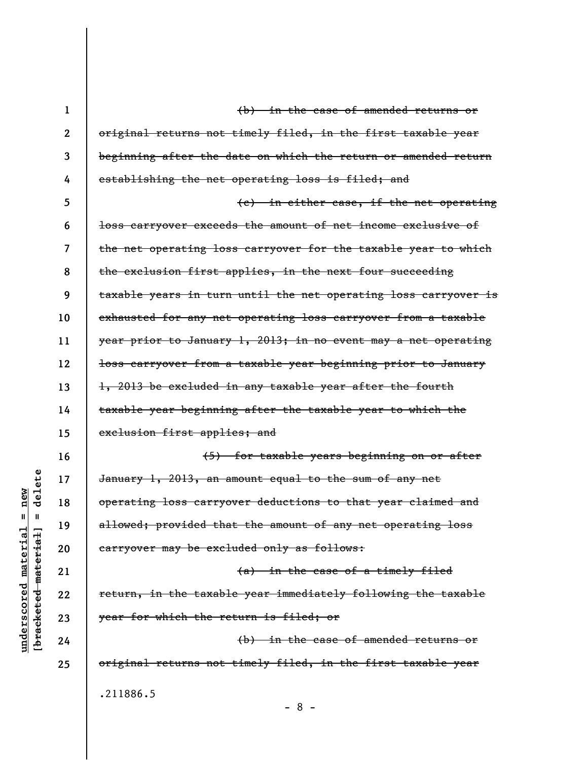| $\mathbf 1$  | (b) in the case of amended returns or                           |
|--------------|-----------------------------------------------------------------|
| $\mathbf{2}$ | original returns not timely filed, in the first taxable year    |
| 3            | beginning after the date on which the return or amended return  |
| 4            | establishing the net operating loss is filed; and               |
| 5            | (e) in either case, if the net operating                        |
| 6            | loss carryover exceeds the amount of net income exclusive of    |
| 7            | the net operating loss carryover for the taxable year to which  |
| 8            | the exclusion first applies, in the next four succeeding        |
| 9            | taxable years in turn until the net operating loss carryover is |
| 10           | exhausted for any net operating loss carryover from a taxable   |
| 11           | year prior to January 1, 2013; in no event may a net operating  |
| 12           | loss carryover from a taxable year beginning prior to January   |
| 13           | 1, 2013 be excluded in any taxable year after the fourth        |
| 14           | taxable year beginning after the taxable year to which the      |
| 15           | exclusion first applies; and                                    |
| 16           | (5) for taxable years beginning on or after                     |
| 17           | January 1, 2013, an amount equal to the sum of any net          |
| 18           | operating loss carryover deductions to that year claimed and    |
| 19           | allowed; provided that the amount of any net operating loss     |
| 20           | carryover may be excluded only as follows:                      |
| 21           | (a) in the case of a timely filed                               |
| 22           | return, in the taxable year immediately following the taxable   |
| 23           | year for which the return is filed; or                          |
| 24           | (b) in the case of amended returns or                           |
| 25           | original returns not timely filed, in the first taxable year    |
|              | .211886.5                                                       |
|              | $-8 -$                                                          |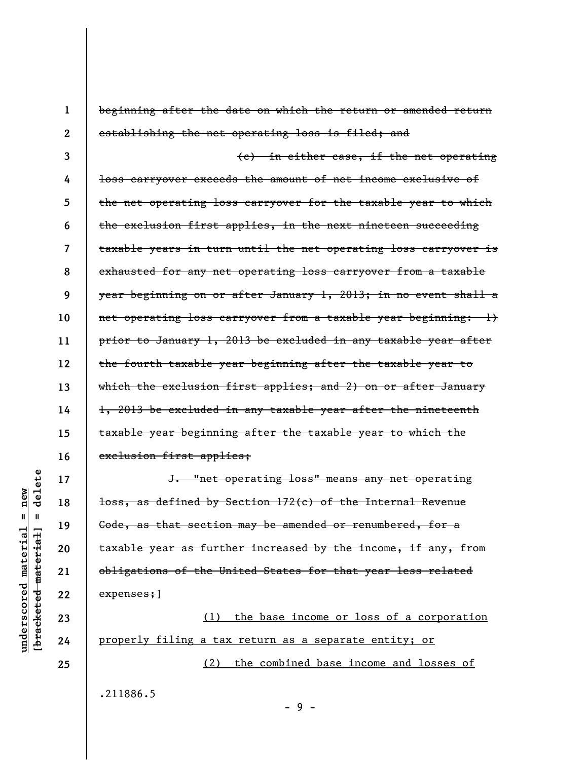| $\mathbf{1}$ | beginning after the date on which the return or amended return             |
|--------------|----------------------------------------------------------------------------|
| $\mathbf{2}$ | establishing the net operating loss is filed; and                          |
| 3            | (e) in either case, if the net operating                                   |
| 4            | loss carryover exceeds the amount of net income exclusive of               |
| 5            | the net operating loss carryover for the taxable year to which             |
| 6            | the exclusion first applies, in the next nineteen succeeding               |
| 7            | taxable years in turn until the net operating loss carryover is            |
| 8            | exhausted for any net operating loss carryover from a taxable              |
| 9            | <del>year beginning on or after January 1, 2013; in no event shall a</del> |
| 10           | net operating loss carryover from a taxable year beginning: 1)             |
| 11           | prior to January 1, 2013 be excluded in any taxable year after             |
| 12           | the fourth taxable year beginning after the taxable year to                |
| 13           | which the exclusion first applies; and 2) on or after January              |
| 14           | 1, 2013 be excluded in any taxable year after the nineteenth               |
| 15           | taxable year beginning after the taxable year to which the                 |
| 16           | exclusion first applies;                                                   |
| 17           | J. "net operating loss" means any net operating                            |
| 18           | <del>loss, as defined by Section 172(c) of the Internal Revenue</del>      |
| 19           | Code, as that section may be amended or renumbered, for a                  |
| 20           | taxable year as further increased by the income, if any, from              |
| 21           | obligations of the United States for that year less related                |
| 22           | expenses; ]                                                                |
| 23           | (1) the base income or loss of a corporation                               |
| 24           | properly filing a tax return as a separate entity; or                      |

properly filing a tax return as a separate entity; or (2) the combined base income and losses of

.211886.5

 $[$ bracketed material] = delete **[bracketed material] = delete**  $underscored material = new$ **underscored material = new**

**25** 

- 9 -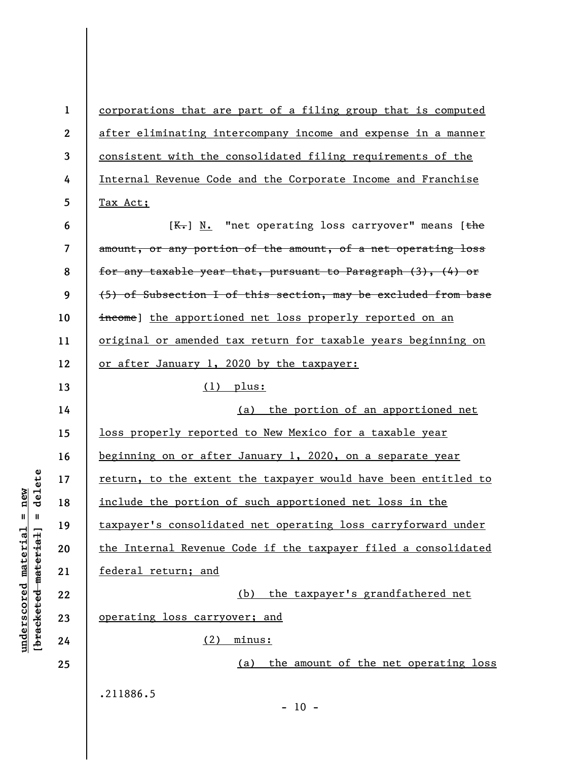**1 2 3 4 5 6 7 8 9 10 11 12 13 14 15 16 17 18 19 20 21 22 23 24 25**  corporations that are part of a filing group that is computed after eliminating intercompany income and expense in a manner consistent with the consolidated filing requirements of the Internal Revenue Code and the Corporate Income and Franchise Tax Act;  $[K-]$  N. "net operating loss carryover" means  $[t<sup>the</sup>]$ amount, or any portion of the amount, of a net operating loss for any taxable year that, pursuant to Paragraph (3), (4) or (5) of Subsection I of this section, may be excluded from base income) the apportioned net loss properly reported on an original or amended tax return for taxable years beginning on or after January 1, 2020 by the taxpayer: (1) plus: (a) the portion of an apportioned net loss properly reported to New Mexico for a taxable year beginning on or after January 1, 2020, on a separate year return, to the extent the taxpayer would have been entitled to include the portion of such apportioned net loss in the taxpayer's consolidated net operating loss carryforward under the Internal Revenue Code if the taxpayer filed a consolidated federal return; and (b) the taxpayer's grandfathered net operating loss carryover; and (2) minus: (a) the amount of the net operating loss .211886.5  $- 10 -$ 

 $b$ racketed material = delete **[bracketed material] = delete**  $anderscored material = new$ **underscored material = new**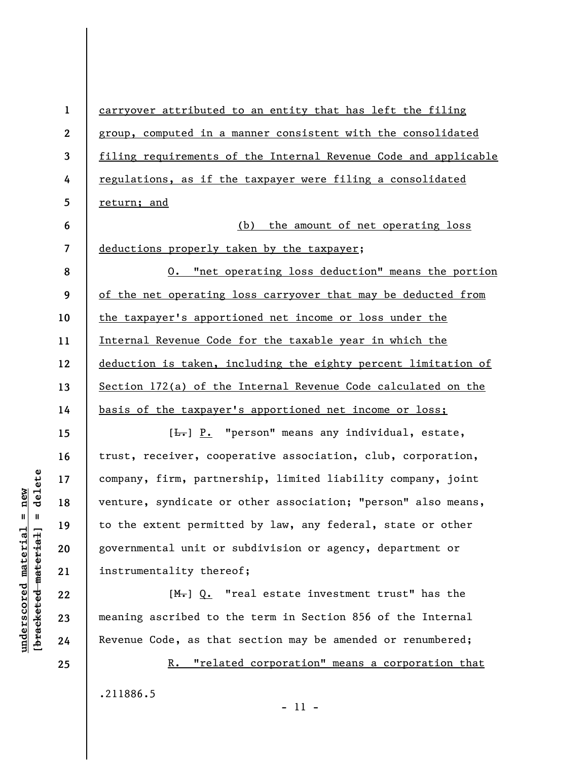**1 2 3 4 5 6 7 8 9 10 11 12 13 14 15 16 17 18 19 20 21 22 23**  carryover attributed to an entity that has left the filing group, computed in a manner consistent with the consolidated filing requirements of the Internal Revenue Code and applicable regulations, as if the taxpayer were filing a consolidated return; and (b) the amount of net operating loss deductions properly taken by the taxpayer; O. "net operating loss deduction" means the portion of the net operating loss carryover that may be deducted from the taxpayer's apportioned net income or loss under the Internal Revenue Code for the taxable year in which the deduction is taken, including the eighty percent limitation of Section 172(a) of the Internal Revenue Code calculated on the basis of the taxpayer's apportioned net income or loss; [ $\frac{L}{L}$ ] P. "person" means any individual, estate, trust, receiver, cooperative association, club, corporation, company, firm, partnership, limited liability company, joint venture, syndicate or other association; "person" also means, to the extent permitted by law, any federal, state or other governmental unit or subdivision or agency, department or instrumentality thereof;  $[M<sub>1</sub>]$  Q. "real estate investment trust" has the

meaning ascribed to the term in Section 856 of the Internal Revenue Code, as that section may be amended or renumbered;

R. "related corporation" means a corporation that

 $\frac{1}{2}$  intereted material = delete **[bracketed material] = delete**  $underscored material = new$ **underscored material = new**

**24** 

**25** 

.211886.5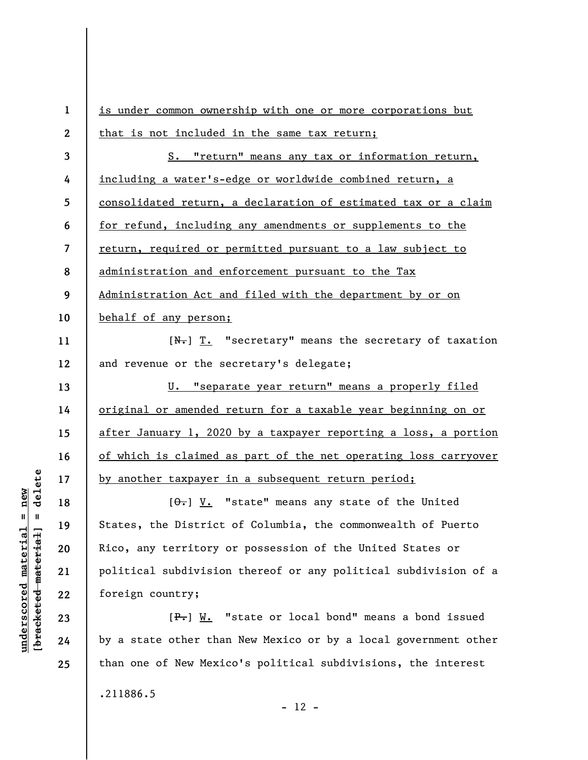**1 2 3 4 5 6 7 8 9 10 11 12 13 14 15 16 17 18 19 20 21 22**  is under common ownership with one or more corporations but that is not included in the same tax return; S. "return" means any tax or information return, including a water's-edge or worldwide combined return, a consolidated return, a declaration of estimated tax or a claim for refund, including any amendments or supplements to the return, required or permitted pursuant to a law subject to administration and enforcement pursuant to the Tax Administration Act and filed with the department by or on behalf of any person;  $[N_{\tau}]$   $T_{\tau}$  "secretary" means the secretary of taxation and revenue or the secretary's delegate; U. "separate year return" means a properly filed original or amended return for a taxable year beginning on or after January 1, 2020 by a taxpayer reporting a loss, a portion of which is claimed as part of the net operating loss carryover by another taxpayer in a subsequent return period;  $[\theta_{\tau}]$  V. "state" means any state of the United States, the District of Columbia, the commonwealth of Puerto Rico, any territory or possession of the United States or political subdivision thereof or any political subdivision of a foreign country;

 $[F-]$  W. "state or local bond" means a bond issued by a state other than New Mexico or by a local government other than one of New Mexico's political subdivisions, the interest

.211886.5

delete **[bracketed material] = delete**  $underscored material = new$ **underscored material = new**  $\frac{1}{2}$ 

**23** 

**24** 

**25** 

 $- 12 -$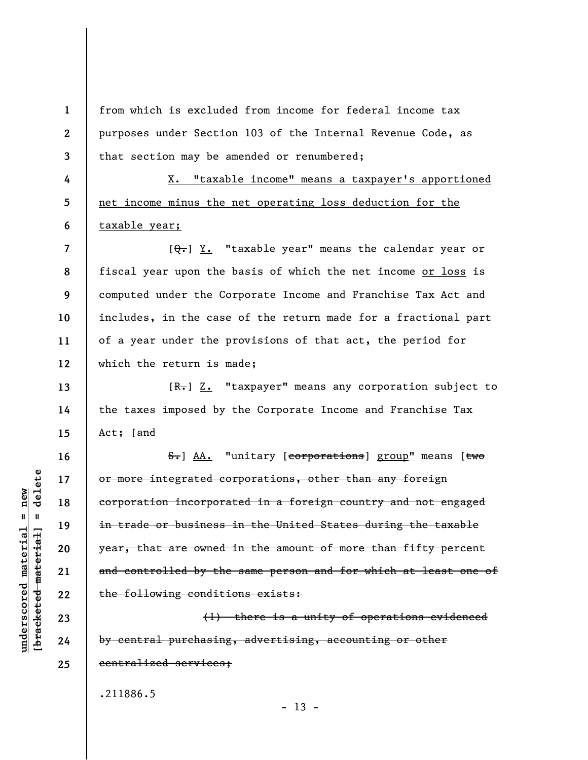from which is excluded from income for federal income tax purposes under Section 103 of the Internal Revenue Code, as that section may be amended or renumbered;

X. "taxable income" means a taxpayer's apportioned net income minus the net operating loss deduction for the taxable year;

**7 8 9 10 11 12**   $[\theta_{\overline{\tau}}]$  Y. "taxable year" means the calendar year or fiscal year upon the basis of which the net income or loss is computed under the Corporate Income and Franchise Tax Act and includes, in the case of the return made for a fractional part of a year under the provisions of that act, the period for which the return is made;

 $[R<sub>1</sub>]$  Z. "taxpayer" means any corporation subject to the taxes imposed by the Corporate Income and Franchise Tax Act; [and

S. AA. "unitary [corporations] group" means [two or more integrated corporations, other than any foreign corporation incorporated in a foreign country and not engaged in trade or business in the United States during the taxable year, that are owned in the amount of more than fifty percent and controlled by the same person and for which at least one of the following conditions exists:

(1) there is a unity of operations evidenced by central purchasing, advertising, accounting or other centralized services;

 $- 13 -$ 

.211886.5

 $\frac{1}{2}$  intereted material = delete **[bracketed material] = delete**  $underscored material = new$ **underscored material = new**

**1** 

**2** 

**3** 

**4** 

**5** 

**6** 

**13** 

**14** 

**15** 

**16** 

**17** 

**18** 

**19** 

**20** 

**21** 

**22** 

**23** 

**24** 

**25**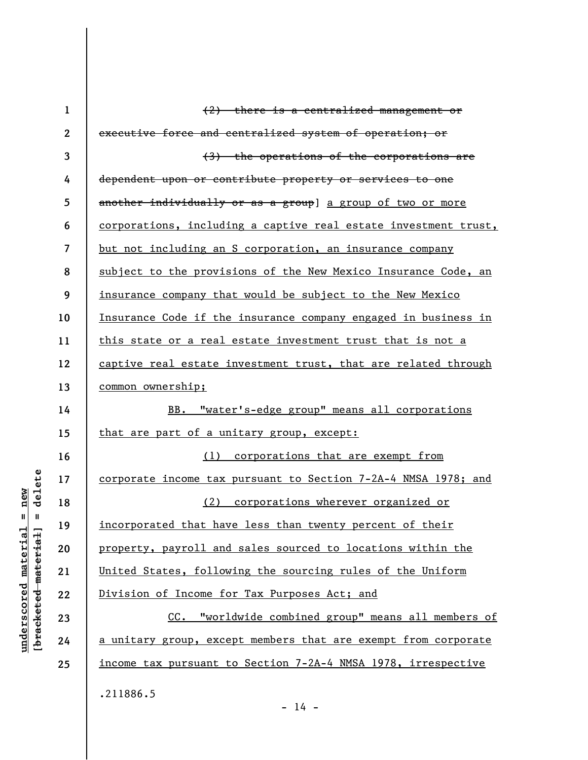| $\mathbf{1}$            | $(2)$ there is a centralized management or                      |
|-------------------------|-----------------------------------------------------------------|
| $\boldsymbol{2}$        | executive force and centralized system of operation; or         |
| 3                       | (3) the operations of the corporations are                      |
| 4                       | dependent upon or contribute property or services to one        |
| 5                       | another individually or as a group] a group of two or more      |
| 6                       | corporations, including a captive real estate investment trust, |
| $\overline{\mathbf{z}}$ | but not including an S corporation, an insurance company        |
| 8                       | subject to the provisions of the New Mexico Insurance Code, an  |
| 9                       | insurance company that would be subject to the New Mexico       |
| 10                      | Insurance Code if the insurance company engaged in business in  |
| 11                      | this state or a real estate investment trust that is not a      |
| 12                      | captive real estate investment trust, that are related through  |
| 13                      | common ownership;                                               |
| 14                      | BB. "water's-edge group" means all corporations                 |
| 15                      | that are part of a unitary group, except:                       |
| 16                      | (1) corporations that are exempt from                           |
| 17                      | corporate income tax pursuant to Section 7-2A-4 NMSA 1978; and  |
| 18                      | (2) corporations wherever organized or                          |
| 19                      | incorporated that have less than twenty percent of their        |
| 20                      | property, payroll and sales sourced to locations within the     |
| 21                      | United States, following the sourcing rules of the Uniform      |
| 22                      | Division of Income for Tax Purposes Act; and                    |
| 23                      | CC. "worldwide combined group" means all members of             |
| 24                      | a unitary group, except members that are exempt from corporate  |
| 25                      | income tax pursuant to Section 7-2A-4 NMSA 1978, irrespective   |
|                         | .211886.5                                                       |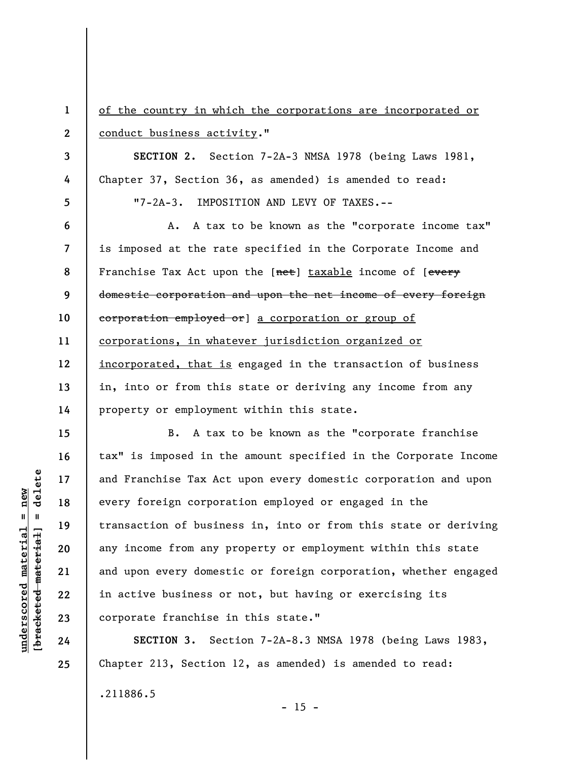**1 2 3 4 5 6 7 8 9 10 11 12 13 14 15 16 17 18 19 20 21 22 23**  of the country in which the corporations are incorporated or conduct business activity." **SECTION 2.** Section 7-2A-3 NMSA 1978 (being Laws 1981, Chapter 37, Section 36, as amended) is amended to read: "7-2A-3. IMPOSITION AND LEVY OF TAXES.-- A. A tax to be known as the "corporate income tax" is imposed at the rate specified in the Corporate Income and Franchise Tax Act upon the [net] taxable income of [every domestic corporation and upon the net income of every foreign corporation employed or] a corporation or group of corporations, in whatever jurisdiction organized or incorporated, that is engaged in the transaction of business in, into or from this state or deriving any income from any property or employment within this state. B. A tax to be known as the "corporate franchise tax" is imposed in the amount specified in the Corporate Income and Franchise Tax Act upon every domestic corporation and upon every foreign corporation employed or engaged in the transaction of business in, into or from this state or deriving any income from any property or employment within this state and upon every domestic or foreign corporation, whether engaged in active business or not, but having or exercising its corporate franchise in this state."

**SECTION 3.** Section 7-2A-8.3 NMSA 1978 (being Laws 1983, Chapter 213, Section 12, as amended) is amended to read: .211886.5

delete **[bracketed material] = delete**  $anderscored material = new$ **underscored material = new**  $\mathbf{u}$ bracketed material

**24** 

**25** 

 $- 15 -$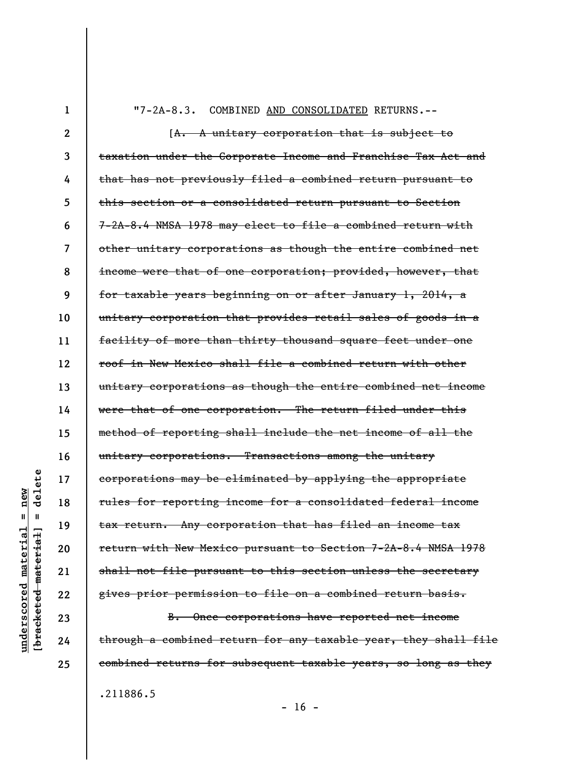**1** 

"7-2A-8.3. COMBINED AND CONSOLIDATED RETURNS.--

**2 3 4 5 6 7 8 9 10 11 12 13 14 15 16 17 18 19 20**  [A. A unitary corporation that is subject to taxation under the Corporate Income and Franchise Tax Act and that has not previously filed a combined return pursuant to this section or a consolidated return pursuant to Section 7-2A-8.4 NMSA 1978 may elect to file a combined return with other unitary corporations as though the entire combined net income were that of one corporation; provided, however, that for taxable years beginning on or after January 1, 2014, a unitary corporation that provides retail sales of goods in a facility of more than thirty thousand square feet under one roof in New Mexico shall file a combined return with other unitary corporations as though the entire combined net income were that of one corporation. The return filed under this method of reporting shall include the net income of all the unitary corporations. Transactions among the unitary corporations may be eliminated by applying the appropriate rules for reporting income for a consolidated federal income tax return. Any corporation that has filed an income tax return with New Mexico pursuant to Section 7-2A-8.4 NMSA 1978 shall not file pursuant to this section unless the secretary gives prior permission to file on a combined return basis.

B. Once corporations have reported net income through a combined return for any taxable year, they shall file combined returns for subsequent taxable years, so long as they

.211886.5

**[bracketed material] = delete** bracketed material **21 22 23 24** 

**25** 

**underscored material = new**

 $anderscored material = new$ 

delete

 $\mathbf{I}$ 

 $- 16 -$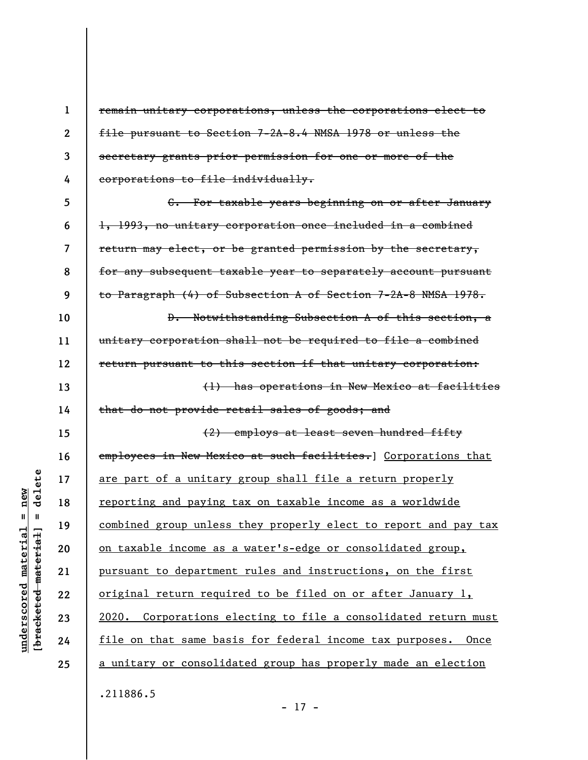**1 2 3 4**  remain unitary corporations, unless the corporations elect to file pursuant to Section 7-2A-8.4 NMSA 1978 or unless the secretary grants prior permission for one or more of the corporations to file individually.

**5 6 7 8 9 10 11 12 13**  C. For taxable years beginning on or after January 1, 1993, no unitary corporation once included in a combined return may elect, or be granted permission by the secretary, for any subsequent taxable year to separately account pursuant to Paragraph (4) of Subsection A of Section 7-2A-8 NMSA 1978. D. Notwithstanding Subsection A of this section, a unitary corporation shall not be required to file a combined return pursuant to this section if that unitary corporation: (1) has operations in New Mexico at facilities

**14**  that do not provide retail sales of goods; and

**15 16 17 18 19 20 21 22 23 24 25**  (2) employs at least seven hundred fifty employees in New Mexico at such facilities. Corporations that are part of a unitary group shall file a return properly reporting and paying tax on taxable income as a worldwide combined group unless they properly elect to report and pay tax on taxable income as a water's-edge or consolidated group, pursuant to department rules and instructions, on the first original return required to be filed on or after January 1, 2020. Corporations electing to file a consolidated return must file on that same basis for federal income tax purposes. Once a unitary or consolidated group has properly made an election

.211886.5

- 17 -

## delete **[bracketed material] = delete**  $anderscored material = new$ **underscored material = new**  $\mathbf{I}$ bracketed material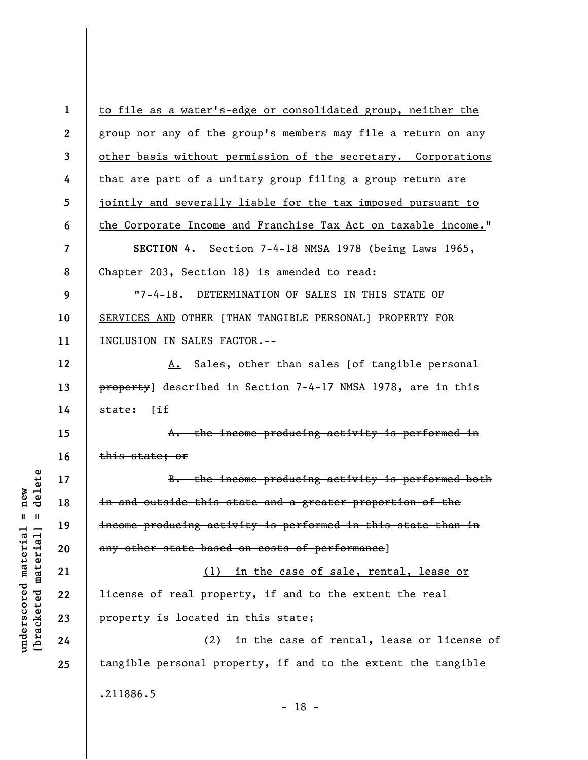| $\mathbf{1}$   | to file as a water's-edge or consolidated group, neither the   |
|----------------|----------------------------------------------------------------|
| $\overline{2}$ | group nor any of the group's members may file a return on any  |
| 3              | other basis without permission of the secretary. Corporations  |
| 4              | that are part of a unitary group filing a group return are     |
| 5              | jointly and severally liable for the tax imposed pursuant to   |
| 6              | the Corporate Income and Franchise Tax Act on taxable income." |
| $\overline{7}$ | SECTION 4. Section 7-4-18 NMSA 1978 (being Laws 1965,          |
| 8              | Chapter 203, Section 18) is amended to read:                   |
| 9              | $"7 - 4 - 18.$<br>DETERMINATION OF SALES IN THIS STATE OF      |
| 10             | SERVICES AND OTHER [THAN TANGIBLE PERSONAL] PROPERTY FOR       |
| 11             | INCLUSION IN SALES FACTOR.--                                   |
| 12             | A. Sales, other than sales [of tangible personal               |
| 13             | property] described in Section 7-4-17 NMSA 1978, are in this   |
| 14             | state: [if                                                     |
| 15             | A. the income-producing activity is performed in               |
| 16             | this state; or                                                 |
| 17             | B. the income-producing activity is performed both             |
| 18             | in and outside this state and a greater proportion of the      |
| 19             | income-producing activity is performed in this state than in   |
| 20             | any other state based on costs of performance]                 |
| 21             | (1) in the case of sale, rental, lease or                      |
| 22             | license of real property, if and to the extent the real        |
| 23             | property is located in this state;                             |
| 24             | (2) in the case of rental, lease or license of                 |
| 25             | tangible personal property, if and to the extent the tangible  |
|                | .211886.5<br>$-18 -$                                           |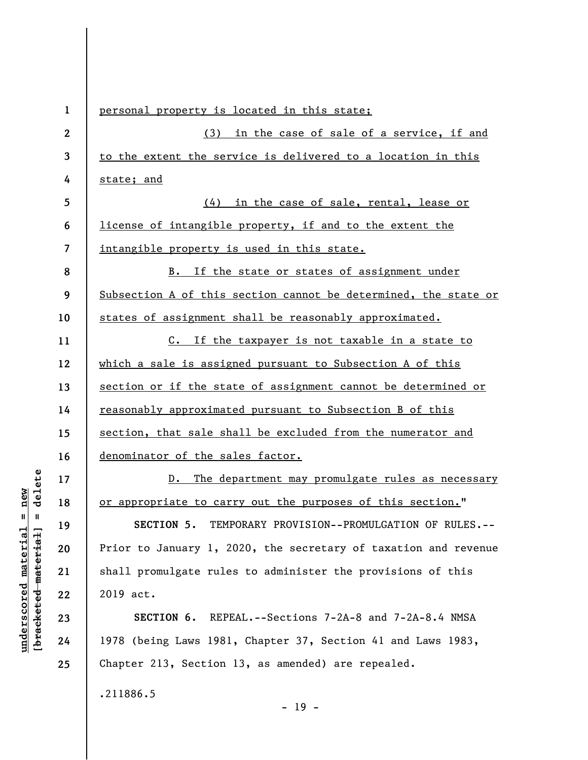| $\mathbf{1}$             | personal property is located in this state;                     |
|--------------------------|-----------------------------------------------------------------|
| $\boldsymbol{2}$         | (3) in the case of sale of a service, if and                    |
| 3                        | to the extent the service is delivered to a location in this    |
| 4                        | state; and                                                      |
| 5                        | (4) in the case of sale, rental, lease or                       |
| 6                        | license of intangible property, if and to the extent the        |
| $\overline{\mathcal{L}}$ | intangible property is used in this state.                      |
| 8                        | B. If the state or states of assignment under                   |
| 9                        | Subsection A of this section cannot be determined, the state or |
| 10                       | states of assignment shall be reasonably approximated.          |
| 11                       | C. If the taxpayer is not taxable in a state to                 |
| 12                       | which a sale is assigned pursuant to Subsection A of this       |
| 13                       | section or if the state of assignment cannot be determined or   |
| 14                       | reasonably approximated pursuant to Subsection B of this        |
| 15                       | section, that sale shall be excluded from the numerator and     |
| 16                       | denominator of the sales factor.                                |
| 17                       | D. The department may promulgate rules as necessary             |
| 18                       | or appropriate to carry out the purposes of this section."      |
| 19                       | SECTION 5.<br>TEMPORARY PROVISION--PROMULGATION OF RULES.       |
| 20                       | Prior to January 1, 2020, the secretary of taxation and revenue |
| 21                       | shall promulgate rules to administer the provisions of this     |
| 22                       | 2019 act.                                                       |
| 23                       | SECTION 6. REPEAL.--Sections 7-2A-8 and 7-2A-8.4 NMSA           |
| 24                       | 1978 (being Laws 1981, Chapter 37, Section 41 and Laws 1983,    |
| 25                       | Chapter 213, Section 13, as amended) are repealed.              |
|                          | .211886.5                                                       |

- 19 -

 $[**bracket**et~~ed matched~~ + **net** + **1** + **1**$  = delete **[bracketed material] = delete**  $underscored material = new$ **underscored material = new**